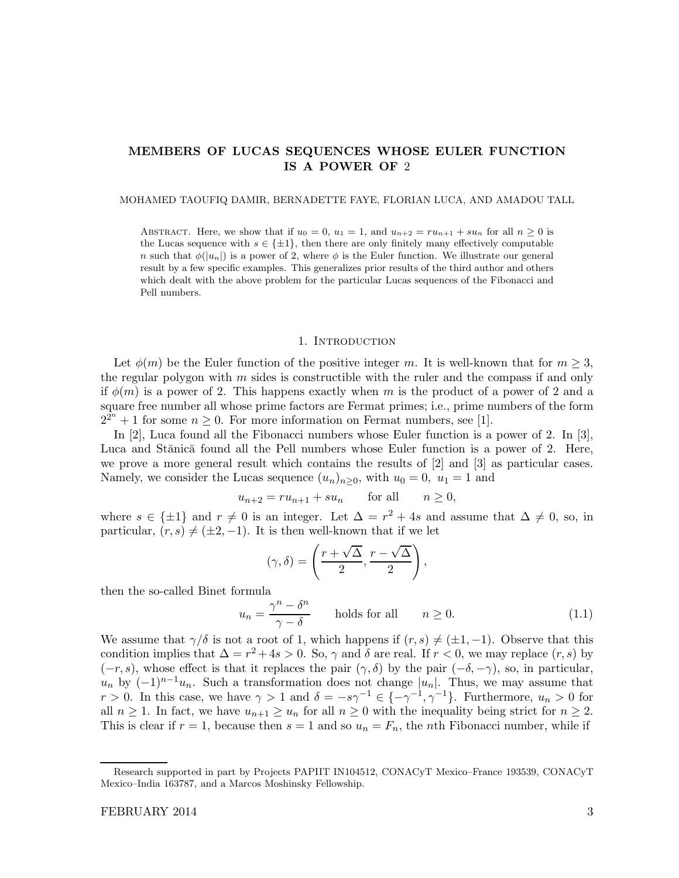# MEMBERS OF LUCAS SEQUENCES WHOSE EULER FUNCTION IS A POWER OF 2

MOHAMED TAOUFIQ DAMIR, BERNADETTE FAYE, FLORIAN LUCA, AND AMADOU TALL

ABSTRACT. Here, we show that if  $u_0 = 0$ ,  $u_1 = 1$ , and  $u_{n+2} = ru_{n+1} + su_n$  for all  $n \ge 0$  is the Lucas sequence with  $s \in \{\pm 1\}$ , then there are only finitely many effectively computable n such that  $\phi(|u_n|)$  is a power of 2, where  $\phi$  is the Euler function. We illustrate our general result by a few specific examples. This generalizes prior results of the third author and others which dealt with the above problem for the particular Lucas sequences of the Fibonacci and Pell numbers.

#### 1. INTRODUCTION

Let  $\phi(m)$  be the Euler function of the positive integer m. It is well-known that for  $m \geq 3$ , the regular polygon with  $m$  sides is constructible with the ruler and the compass if and only if  $\phi(m)$  is a power of 2. This happens exactly when m is the product of a power of 2 and a square free number all whose prime factors are Fermat primes; i.e., prime numbers of the form  $2^{2^n} + 1$  for some  $n \geq 0$ . For more information on Fermat numbers, see [1].

In [2], Luca found all the Fibonacci numbers whose Euler function is a power of 2. In [3], Luca and Stănică found all the Pell numbers whose Euler function is a power of 2. Here, we prove a more general result which contains the results of [2] and [3] as particular cases. Namely, we consider the Lucas sequence  $(u_n)_{n\geq 0}$ , with  $u_0 = 0$ ,  $u_1 = 1$  and

$$
u_{n+2} = ru_{n+1} + su_n \qquad \text{for all} \qquad n \ge 0,
$$

where  $s \in \{\pm 1\}$  and  $r \neq 0$  is an integer. Let  $\Delta = r^2 + 4s$  and assume that  $\Delta \neq 0$ , so, in particular,  $(r, s) \neq (\pm 2, -1)$ . It is then well-known that if we let

$$
(\gamma,\delta) = \left(\frac{r+\sqrt{\Delta}}{2}, \frac{r-\sqrt{\Delta}}{2}\right),\,
$$

then the so-called Binet formula

$$
u_n = \frac{\gamma^n - \delta^n}{\gamma - \delta} \qquad \text{holds for all} \qquad n \ge 0. \tag{1.1}
$$

We assume that  $\gamma/\delta$  is not a root of 1, which happens if  $(r, s) \neq (\pm 1, -1)$ . Observe that this condition implies that  $\Delta = r^2 + 4s > 0$ . So,  $\gamma$  and  $\delta$  are real. If  $r < 0$ , we may replace  $(r, s)$  by  $(-r, s)$ , whose effect is that it replaces the pair  $(\gamma, \delta)$  by the pair  $(-\delta, -\gamma)$ , so, in particular,  $u_n$  by  $(-1)^{n-1}u_n$ . Such a transformation does not change  $|u_n|$ . Thus, we may assume that  $r > 0$ . In this case, we have  $\gamma > 1$  and  $\delta = -s\gamma^{-1} \in \{-\gamma^{-1}, \gamma^{-1}\}$ . Furthermore,  $u_n > 0$  for all  $n \geq 1$ . In fact, we have  $u_{n+1} \geq u_n$  for all  $n \geq 0$  with the inequality being strict for  $n \geq 2$ . This is clear if  $r = 1$ , because then  $s = 1$  and so  $u_n = F_n$ , the *n*th Fibonacci number, while if

Research supported in part by Projects PAPIIT IN104512, CONACyT Mexico–France 193539, CONACyT Mexico–India 163787, and a Marcos Moshinsky Fellowship.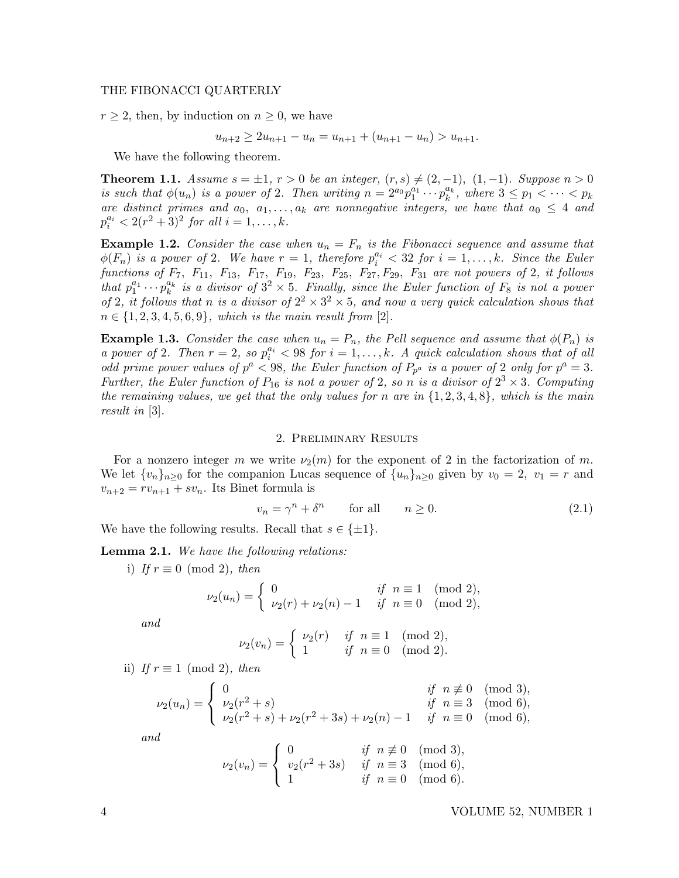## THE FIBONACCI QUARTERLY

 $r \geq 2$ , then, by induction on  $n \geq 0$ , we have

$$
u_{n+2} \ge 2u_{n+1} - u_n = u_{n+1} + (u_{n+1} - u_n) > u_{n+1}.
$$

We have the following theorem.

**Theorem 1.1.** Assume  $s = \pm 1$ ,  $r > 0$  be an integer,  $(r, s) \neq (2, -1)$ ,  $(1, -1)$ . Suppose  $n > 0$ is such that  $\phi(u_n)$  is a power of 2. Then writing  $n = 2^{a_0} p_1^{a_1} \cdots p_k^{a_k}$  $_k^{a_k}$ , where  $3 \leq p_1 < \cdots < p_k$ are distinct primes and  $a_0, a_1, \ldots, a_k$  are nonnegative integers, we have that  $a_0 \leq 4$  and  $p_i^{a_i} < 2(r^2+3)^2$  for all  $i = 1, ..., k$ .

**Example 1.2.** Consider the case when  $u_n = F_n$  is the Fibonacci sequence and assume that  $\phi(F_n)$  is a power of 2. We have  $r=1$ , therefore  $p_i^{a_i} < 32$  for  $i=1,\ldots,k$ . Since the Euler functions of  $F_7$ ,  $F_{11}$ ,  $F_{13}$ ,  $F_{17}$ ,  $F_{19}$ ,  $F_{23}$ ,  $F_{25}$ ,  $F_{27}$ ,  $F_{29}$ ,  $F_{31}$  are not powers of 2, it follows that  $p_1^{a_1} \cdots p_k^{a_k}$  $\frac{a_k}{k}$  is a divisor of  $3^2 \times 5$ . Finally, since the Euler function of  $F_8$  is not a power of 2, it follows that n is a divisor of  $2^2 \times 3^2 \times 5$ , and now a very quick calculation shows that  $n \in \{1, 2, 3, 4, 5, 6, 9\}$ , which is the main result from [2].

**Example 1.3.** Consider the case when  $u_n = P_n$ , the Pell sequence and assume that  $\phi(P_n)$  is a power of 2. Then  $r = 2$ , so  $p_i^{a_i} < 98$  for  $i = 1, ..., k$ . A quick calculation shows that of all odd prime power values of  $p^a < 98$ , the Euler function of  $P_{p^a}$  is a power of 2 only for  $p^a = 3$ . Further, the Euler function of  $P_{16}$  is not a power of 2, so n is a divisor of  $2^3 \times 3$ . Computing the remaining values, we get that the only values for n are in  $\{1, 2, 3, 4, 8\}$ , which is the main result in [3].

### 2. Preliminary Results

For a nonzero integer m we write  $\nu_2(m)$  for the exponent of 2 in the factorization of m. We let  $\{v_n\}_{n\geq 0}$  for the companion Lucas sequence of  $\{u_n\}_{n\geq 0}$  given by  $v_0 = 2$ ,  $v_1 = r$  and  $v_{n+2} = rv_{n+1} + sv_n$ . Its Binet formula is

$$
v_n = \gamma^n + \delta^n \qquad \text{for all} \qquad n \ge 0. \tag{2.1}
$$

We have the following results. Recall that  $s \in \{\pm 1\}.$ 

Lemma 2.1. We have the following relations:

i) If  $r \equiv 0 \pmod{2}$ , then

$$
\nu_2(u_n) = \begin{cases} 0 & \text{if } n \equiv 1 \pmod{2}, \\ \nu_2(r) + \nu_2(n) - 1 & \text{if } n \equiv 0 \pmod{2}, \end{cases}
$$

and

$$
\nu_2(v_n)=\left\{\begin{array}{ll}\nu_2(r) & \textit{ if } \ n\equiv 1 \pmod 2, \\ 1 & \textit{ if } \ n\equiv 0 \pmod 2.\end{array}\right.
$$

ii) If  $r \equiv 1 \pmod{2}$ , then

$$
\nu_2(u_n) = \begin{cases}\n0 & \text{if } n \not\equiv 0 \pmod{3}, \\
\nu_2(r^2 + s) & \text{if } n \equiv 3 \pmod{6}, \\
\nu_2(r^2 + s) + \nu_2(r^2 + 3s) + \nu_2(n) - 1 & \text{if } n \equiv 0 \pmod{6},\n\end{cases}
$$

and

$$
\nu_2(v_n) = \begin{cases} 0 & \text{if } n \not\equiv 0 \pmod{3}, \\ v_2(r^2 + 3s) & \text{if } n \equiv 3 \pmod{6}, \\ 1 & \text{if } n \equiv 0 \pmod{6}. \end{cases}
$$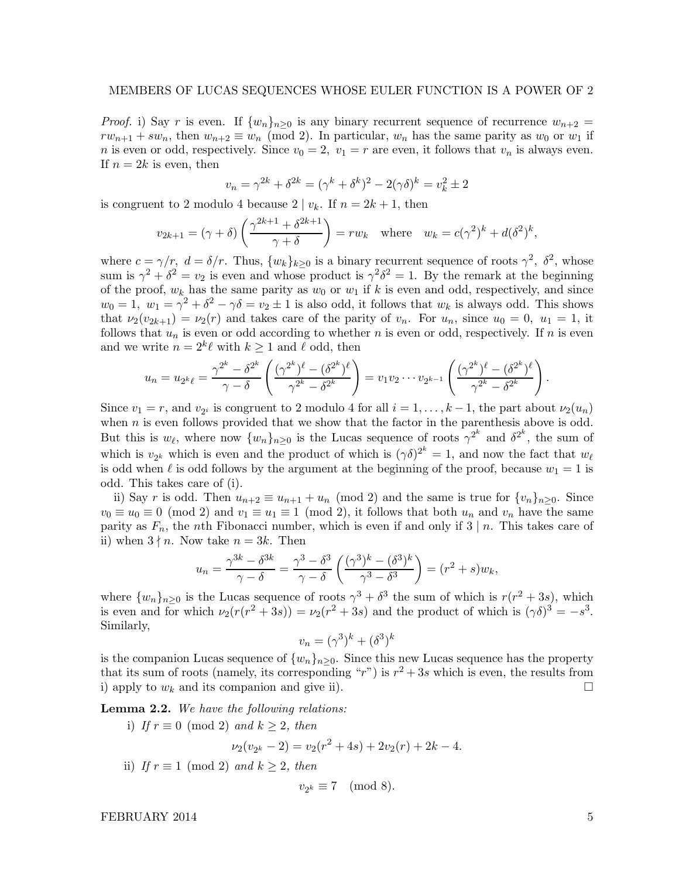*Proof.* i) Say r is even. If  $\{w_n\}_{n>0}$  is any binary recurrent sequence of recurrence  $w_{n+2}$  $rw_{n+1} + sw_n$ , then  $w_{n+2} \equiv w_n \pmod{2}$ . In particular,  $w_n$  has the same parity as  $w_0$  or  $w_1$  if *n* is even or odd, respectively. Since  $v_0 = 2$ ,  $v_1 = r$  are even, it follows that  $v_n$  is always even. If  $n = 2k$  is even, then

$$
v_n = \gamma^{2k} + \delta^{2k} = (\gamma^k + \delta^k)^2 - 2(\gamma \delta)^k = v_k^2 \pm 2
$$

is congruent to 2 modulo 4 because  $2 | v_k$ . If  $n = 2k + 1$ , then

$$
v_{2k+1} = (\gamma + \delta) \left( \frac{\gamma^{2k+1} + \delta^{2k+1}}{\gamma + \delta} \right) = rw_k \quad \text{where} \quad w_k = c(\gamma^2)^k + d(\delta^2)^k,
$$

where  $c = \gamma/r$ ,  $d = \delta/r$ . Thus,  $\{w_k\}_{k\geq 0}$  is a binary recurrent sequence of roots  $\gamma^2$ ,  $\delta^2$ , whose sum is  $\gamma^2 + \delta^2 = v_2$  is even and whose product is  $\gamma^2 \delta^2 = 1$ . By the remark at the beginning of the proof,  $w_k$  has the same parity as  $w_0$  or  $w_1$  if k is even and odd, respectively, and since  $w_0 = 1$ ,  $w_1 = \gamma^2 + \delta^2 - \gamma \delta = v_2 \pm 1$  is also odd, it follows that  $w_k$  is always odd. This shows that  $\nu_2(v_{2k+1}) = \nu_2(r)$  and takes care of the parity of  $v_n$ . For  $u_n$ , since  $u_0 = 0$ ,  $u_1 = 1$ , it follows that  $u_n$  is even or odd according to whether n is even or odd, respectively. If n is even and we write  $n = 2^k \ell$  with  $k \ge 1$  and  $\ell$  odd, then

$$
u_n = u_{2^k\ell} = \frac{\gamma^{2^k} - \delta^{2^k}}{\gamma - \delta} \left( \frac{(\gamma^{2^k})^{\ell} - (\delta^{2^k})^{\ell}}{\gamma^{2^k} - \delta^{2^k}} \right) = v_1v_2 \cdots v_{2^{k-1}} \left( \frac{(\gamma^{2^k})^{\ell} - (\delta^{2^k})^{\ell}}{\gamma^{2^k} - \delta^{2^k}} \right).
$$

Since  $v_1 = r$ , and  $v_{2i}$  is congruent to 2 modulo 4 for all  $i = 1, ..., k - 1$ , the part about  $\nu_2(u_n)$ when  $n$  is even follows provided that we show that the factor in the parenthesis above is odd. But this is  $w_{\ell}$ , where now  $\{w_n\}_{n\geq 0}$  is the Lucas sequence of roots  $\gamma^{2^k}$  and  $\delta^{2^k}$ , the sum of which is  $v_{2^k}$  which is even and the product of which is  $(\gamma \delta)^{2^k} = 1$ , and now the fact that  $w_\ell$ is odd when  $\ell$  is odd follows by the argument at the beginning of the proof, because  $w_1 = 1$  is odd. This takes care of (i).

ii) Say r is odd. Then  $u_{n+2} \equiv u_{n+1} + u_n \pmod{2}$  and the same is true for  $\{v_n\}_{n\geq 0}$ . Since  $v_0 \equiv u_0 \equiv 0 \pmod{2}$  and  $v_1 \equiv u_1 \equiv 1 \pmod{2}$ , it follows that both  $u_n$  and  $v_n$  have the same parity as  $F_n$ , the nth Fibonacci number, which is even if and only if 3 | n. This takes care of ii) when  $3 \nmid n$ . Now take  $n = 3k$ . Then

$$
u_n = \frac{\gamma^{3k} - \delta^{3k}}{\gamma - \delta} = \frac{\gamma^3 - \delta^3}{\gamma - \delta} \left( \frac{(\gamma^3)^k - (\delta^3)^k}{\gamma^3 - \delta^3} \right) = (r^2 + s)w_k,
$$

where  $\{w_n\}_{n\geq 0}$  is the Lucas sequence of roots  $\gamma^3 + \delta^3$  the sum of which is  $r(r^2 + 3s)$ , which is even and for which  $\nu_2(r(r^2+3s)) = \nu_2(r^2+3s)$  and the product of which is  $(\gamma \delta)^3 = -s^3$ . Similarly,

$$
v_n = (\gamma^3)^k + (\delta^3)^k
$$

is the companion Lucas sequence of  $\{w_n\}_{n>0}$ . Since this new Lucas sequence has the property that its sum of roots (namely, its corresponding " $r$ ") is  $r^2 + 3s$  which is even, the results from i) apply to  $w_k$  and its companion and give ii).

Lemma 2.2. We have the following relations:

i) If  $r \equiv 0 \pmod{2}$  and  $k \geq 2$ , then  $\nu_2(v_{2^k} - 2) = v_2(r^2 + 4s) + 2v_2(r) + 2k - 4.$ ii) If  $r \equiv 1 \pmod{2}$  and  $k \geq 2$ , then

$$
v_{2^k} \equiv 7 \pmod{8}.
$$

FEBRUARY 2014 5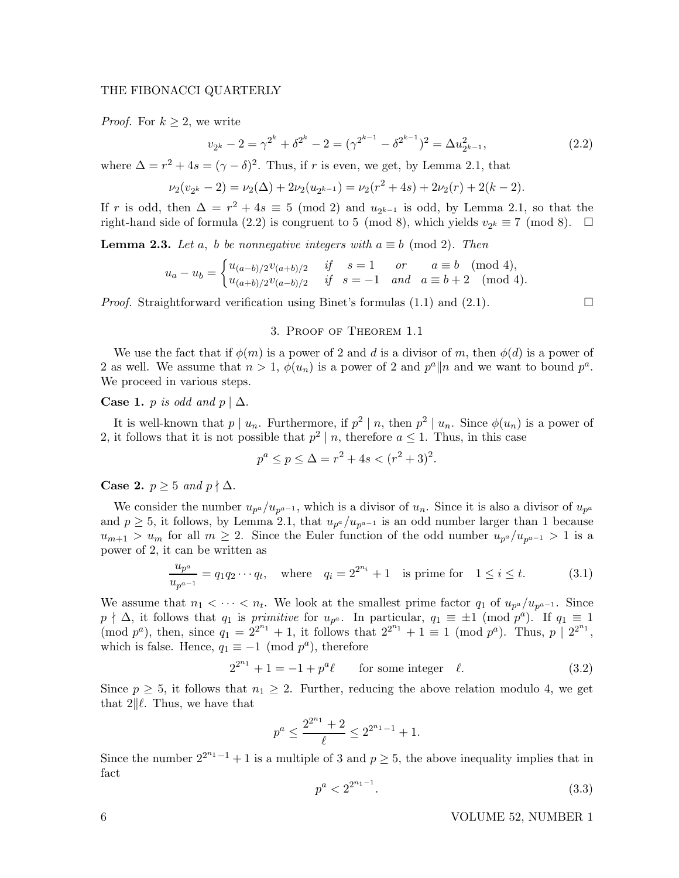# THE FIBONACCI QUARTERLY

*Proof.* For  $k \geq 2$ , we write

$$
v_{2^k} - 2 = \gamma^{2^k} + \delta^{2^k} - 2 = (\gamma^{2^{k-1}} - \delta^{2^{k-1}})^2 = \Delta u_{2^{k-1}}^2,
$$
\n(2.2)

where  $\Delta = r^2 + 4s = (\gamma - \delta)^2$ . Thus, if r is even, we get, by Lemma 2.1, that

$$
\nu_2(\nu_{2^k} - 2) = \nu_2(\Delta) + 2\nu_2(u_{2^{k-1}}) = \nu_2(r^2 + 4s) + 2\nu_2(r) + 2(k - 2).
$$

If r is odd, then  $\Delta = r^2 + 4s \equiv 5 \pmod{2}$  and  $u_{2^{k-1}}$  is odd, by Lemma 2.1, so that the right-hand side of formula (2.2) is congruent to 5 (mod 8), which yields  $v_{2^k} \equiv 7 \pmod{8}$ .  $\Box$ 

**Lemma 2.3.** Let a, b be nonnegative integers with  $a \equiv b \pmod{2}$ . Then

$$
u_a - u_b = \begin{cases} u_{(a-b)/2}v_{(a+b)/2} & \text{if } s = 1 \text{ or } a \equiv b \pmod{4}, \\ u_{(a+b)/2}v_{(a-b)/2} & \text{if } s = -1 \text{ and } a \equiv b+2 \pmod{4}. \end{cases}
$$

*Proof.* Straightforward verification using Binet's formulas  $(1.1)$  and  $(2.1)$ .

### 3. Proof of Theorem 1.1

We use the fact that if  $\phi(m)$  is a power of 2 and d is a divisor of m, then  $\phi(d)$  is a power of 2 as well. We assume that  $n > 1$ ,  $\phi(u_n)$  is a power of 2 and  $p^a || n$  and we want to bound  $p^a$ . We proceed in various steps.

# Case 1. p is odd and  $p \mid \Delta$ .

It is well-known that  $p \mid u_n$ . Furthermore, if  $p^2 \mid n$ , then  $p^2 \mid u_n$ . Since  $\phi(u_n)$  is a power of 2, it follows that it is not possible that  $p^2 \mid n$ , therefore  $a \leq 1$ . Thus, in this case

$$
p^a \le p \le \Delta = r^2 + 4s < (r^2 + 3)^2.
$$

**Case 2.**  $p \geq 5$  and  $p \nmid \Delta$ .

We consider the number  $u_{p^a}/u_{p^{a-1}}$ , which is a divisor of  $u_n$ . Since it is also a divisor of  $u_{p^a}$ and  $p \geq 5$ , it follows, by Lemma 2.1, that  $u_{p^a}/u_{p^{a-1}}$  is an odd number larger than 1 because  $u_{m+1} > u_m$  for all  $m \geq 2$ . Since the Euler function of the odd number  $u_{p^a}/u_{p^{a-1}} > 1$  is a power of 2, it can be written as

$$
\frac{u_{p^a}}{u_{p^{a-1}}} = q_1 q_2 \cdots q_t, \quad \text{where} \quad q_i = 2^{2^{n_i}} + 1 \quad \text{is prime for} \quad 1 \le i \le t. \tag{3.1}
$$

We assume that  $n_1 < \cdots < n_t$ . We look at the smallest prime factor  $q_1$  of  $u_{p^a}/u_{p^{a-1}}$ . Since  $p \nmid \Delta$ , it follows that  $q_1$  is primitive for  $u_{p^a}$ . In particular,  $q_1 \equiv \pm 1 \pmod{p^a}$ . If  $q_1 \equiv 1$  $(\text{mod } p^a)$ , then, since  $q_1 = 2^{2^{n_1}} + 1$ , it follows that  $2^{2^{n_1}} + 1 \equiv 1 \pmod{p^a}$ . Thus,  $p \mid 2^{2^{n_1}}$ , which is false. Hence,  $q_1 \equiv -1 \pmod{p^a}$ , therefore

$$
2^{2^{n_1}} + 1 = -1 + p^a \ell \qquad \text{for some integer} \quad \ell. \tag{3.2}
$$

Since  $p \geq 5$ , it follows that  $n_1 \geq 2$ . Further, reducing the above relation modulo 4, we get that  $2\|\ell$ . Thus, we have that

$$
p^a \le \frac{2^{2^{n_1}} + 2}{\ell} \le 2^{2^{n_1} - 1} + 1.
$$

Since the number  $2^{2^{n_1}-1}+1$  is a multiple of 3 and  $p\geq 5$ , the above inequality implies that in fact

$$
p^a < 2^{2^{n_1 - 1}}.\tag{3.3}
$$

6 VOLUME 52, NUMBER 1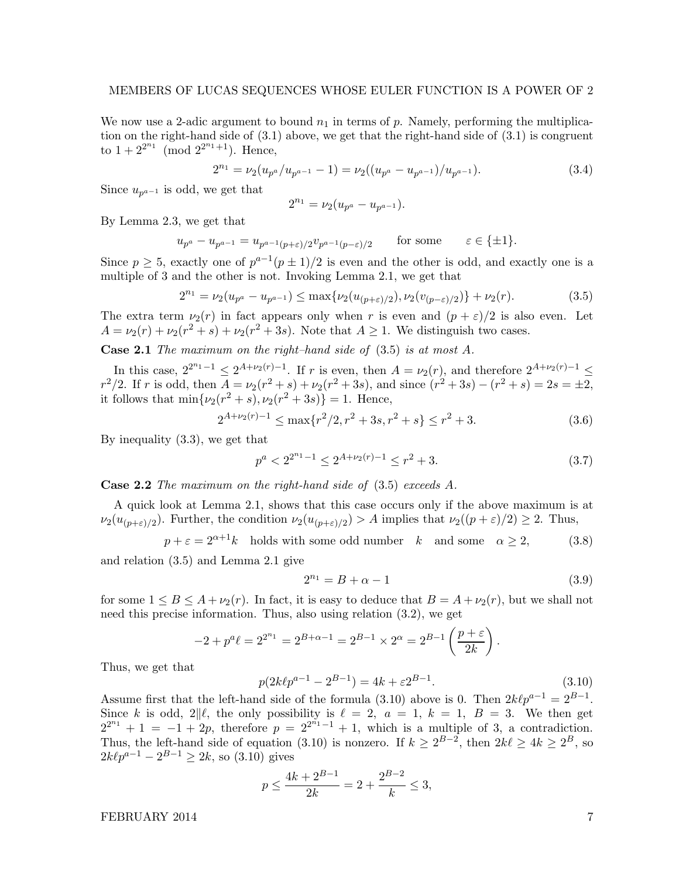We now use a 2-adic argument to bound  $n_1$  in terms of p. Namely, performing the multiplication on the right-hand side of (3.1) above, we get that the right-hand side of (3.1) is congruent to  $1 + 2^{2^{n_1}} \pmod{2^{2^{n_1+1}}}$ . Hence,

$$
2^{n_1} = \nu_2 (u_{p^a}/u_{p^{a-1}} - 1) = \nu_2 ((u_{p^a} - u_{p^{a-1}})/u_{p^{a-1}}). \tag{3.4}
$$

Since  $u_{p^{a-1}}$  is odd, we get that

$$
2^{n_1} = \nu_2 (u_{p^a} - u_{p^{a-1}}).
$$

By Lemma 2.3, we get that

$$
u_{p^a} - u_{p^{a-1}} = u_{p^{a-1}(p+\varepsilon)/2} v_{p^{a-1}(p-\varepsilon)/2} \qquad \text{for some} \qquad \varepsilon \in \{\pm 1\}.
$$

Since  $p \ge 5$ , exactly one of  $p^{a-1}(p \pm 1)/2$  is even and the other is odd, and exactly one is a multiple of 3 and the other is not. Invoking Lemma 2.1, we get that

$$
2^{n_1} = \nu_2(u_{p^a} - u_{p^{a-1}}) \le \max\{\nu_2(u_{(p+\varepsilon)/2}), \nu_2(v_{(p-\varepsilon)/2})\} + \nu_2(r). \tag{3.5}
$$

The extra term  $\nu_2(r)$  in fact appears only when r is even and  $(p+\varepsilon)/2$  is also even. Let  $A = \nu_2(r) + \nu_2(r^2 + s) + \nu_2(r^2 + 3s)$ . Note that  $A \ge 1$ . We distinguish two cases.

Case 2.1 The maximum on the right–hand side of (3.5) is at most A.

In this case,  $2^{2^{n_1}-1} \leq 2^{A+\nu_2(r)-1}$ . If r is even, then  $A = \nu_2(r)$ , and therefore  $2^{A+\nu_2(r)-1} \leq$  $r^2/2$ . If r is odd, then  $A = \nu_2(r^2 + s) + \nu_2(r^2 + 3s)$ , and since  $(r^2 + 3s) - (r^2 + s) = 2s = \pm 2$ , it follows that  $\min\{\nu_2(r^2 + s), \nu_2(r^2 + 3s)\} = 1$ . Hence,

$$
2^{A+\nu_2(r)-1} \le \max\{r^2/2, r^2+3s, r^2+s\} \le r^2+3. \tag{3.6}
$$

By inequality (3.3), we get that

$$
p^{a} < 2^{2^{n_{1}} - 1} \leq 2^{A + \nu_{2}(r) - 1} \leq r^{2} + 3. \tag{3.7}
$$

Case 2.2 The maximum on the right-hand side of (3.5) exceeds A.

A quick look at Lemma 2.1, shows that this case occurs only if the above maximum is at  $\nu_2(u_{(p+\varepsilon)/2})$ . Further, the condition  $\nu_2(u_{(p+\varepsilon)/2}) > A$  implies that  $\nu_2((p+\varepsilon)/2) \geq 2$ . Thus,

$$
p + \varepsilon = 2^{\alpha + 1}k \quad \text{holds with some odd number} \quad k \quad \text{and some} \quad \alpha \ge 2,\tag{3.8}
$$

and relation (3.5) and Lemma 2.1 give

$$
2^{n_1} = B + \alpha - 1 \tag{3.9}
$$

for some  $1 \leq B \leq A + \nu_2(r)$ . In fact, it is easy to deduce that  $B = A + \nu_2(r)$ , but we shall not need this precise information. Thus, also using relation (3.2), we get

$$
-2 + p^a \ell = 2^{2^{n_1}} = 2^{B + \alpha - 1} = 2^{B - 1} \times 2^{\alpha} = 2^{B - 1} \left(\frac{p + \varepsilon}{2k}\right).
$$

Thus, we get that

$$
p(2k\ell p^{a-1} - 2^{B-1}) = 4k + \varepsilon 2^{B-1}.
$$
\n(3.10)

Assume first that the left-hand side of the formula (3.10) above is 0. Then  $2k\ell p^{a-1} = 2^{B-1}$ . Since k is odd,  $2\|\ell$ , the only possibility is  $\ell = 2$ ,  $a = 1$ ,  $k = 1$ ,  $B = 3$ . We then get  $2^{2^{n_1}} + 1 = -1 + 2p$ , therefore  $p = 2^{2^{n_1}-1} + 1$ , which is a multiple of 3, a contradiction. Thus, the left-hand side of equation (3.10) is nonzero. If  $k \geq 2^{B-2}$ , then  $2k\ell \geq 4k \geq 2^B$ , so  $2k\ell p^{a-1} - 2^{B-1} \geq 2k$ , so  $(3.10)$  gives

$$
p \le \frac{4k + 2^{B-1}}{2k} = 2 + \frac{2^{B-2}}{k} \le 3,
$$

FEBRUARY 2014 7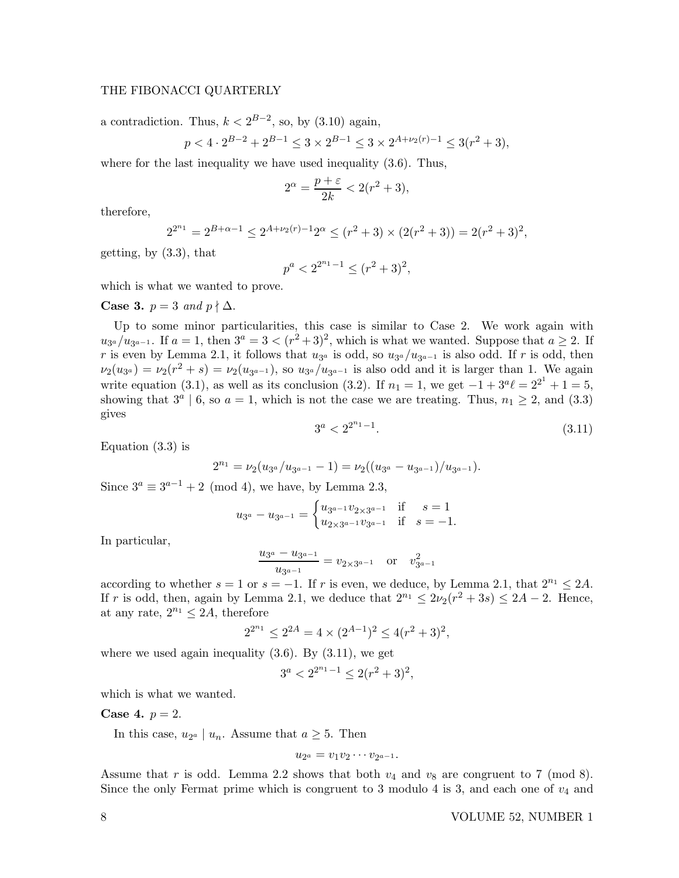# THE FIBONACCI QUARTERLY

 $\overline{p}$ 

a contradiction. Thus,  $k < 2^{B-2}$ , so, by  $(3.10)$  again,

$$
<4 \cdot 2^{B-2} + 2^{B-1} \le 3 \times 2^{B-1} \le 3 \times 2^{A+\nu_2(r)-1} \le 3(r^2+3),
$$

where for the last inequality we have used inequality (3.6). Thus,

$$
2^{\alpha} = \frac{p+\varepsilon}{2k} < 2(r^2+3),
$$

therefore,

$$
2^{2^{n_1}} = 2^{B+\alpha-1} \le 2^{A+\nu_2(r)-1}2^{\alpha} \le (r^2+3) \times (2(r^2+3)) = 2(r^2+3)^2,
$$

getting, by (3.3), that

$$
p^a < 2^{2^{n_1}-1} \le (r^2+3)^2
$$

which is what we wanted to prove.

**Case 3.**  $p = 3$  and  $p \nmid \Delta$ .

Up to some minor particularities, this case is similar to Case 2. We work again with  $u_{3a}/u_{3a-1}$ . If  $a=1$ , then  $3^a=3<(r^2+3)^2$ , which is what we wanted. Suppose that  $a\geq 2$ . If r is even by Lemma 2.1, it follows that  $u_{3^a}$  is odd, so  $u_{3^a}/u_{3^{a-1}}$  is also odd. If r is odd, then  $\nu_2(u_{3^a}) = \nu_2(r^2 + s) = \nu_2(u_{3^{a-1}})$ , so  $u_{3^a}/u_{3^{a-1}}$  is also odd and it is larger than 1. We again write equation (3.1), as well as its conclusion (3.2). If  $n_1 = 1$ , we get  $-1 + 3^a \ell = 2^{2^1} + 1 = 5$ , showing that  $3^a \mid 6$ , so  $a = 1$ , which is not the case we are treating. Thus,  $n_1 \geq 2$ , and (3.3) gives

$$
3^a < 2^{2^{n_1}-1}.\tag{3.11}
$$

Equation (3.3) is

$$
2^{n_1} = \nu_2 (u_{3^a}/u_{3^{a-1}} - 1) = \nu_2 ((u_{3^a} - u_{3^{a-1}})/u_{3^{a-1}}).
$$

Since  $3^a \equiv 3^{a-1} + 2 \pmod{4}$ , we have, by Lemma 2.3,

$$
u_{3^a} - u_{3^{a-1}} = \begin{cases} u_{3^{a-1}} v_{2 \times 3^{a-1}} & \text{if } s = 1 \\ u_{2 \times 3^{a-1}} v_{3^{a-1}} & \text{if } s = -1. \end{cases}
$$

In particular,

$$
\frac{u_{3^a}-u_{3^{a-1}}}{u_{3^{a-1}}}=v_{2\times 3^{a-1}} \quad \text{or} \quad v_{3^{a-1}}^2
$$

according to whether  $s = 1$  or  $s = -1$ . If r is even, we deduce, by Lemma 2.1, that  $2^{n_1} \leq 2A$ . If r is odd, then, again by Lemma 2.1, we deduce that  $2^{n_1} \leq 2\nu_2(r^2 + 3s) \leq 2A - 2$ . Hence, at any rate,  $2^{n_1} \leq 2A$ , therefore

$$
2^{2^{n_1}} \le 2^{2A} = 4 \times (2^{A-1})^2 \le 4(r^2+3)^2,
$$

where we used again inequality  $(3.6)$ . By  $(3.11)$ , we get

$$
3^a<2^{2^{n_1}-1}\le 2(r^2+3)^2,
$$

which is what we wanted.

**Case 4.**  $p = 2$ .

In this case,  $u_{2^a} \mid u_n$ . Assume that  $a \ge 5$ . Then

$$
u_{2^a}=v_1v_2\cdots v_{2^{a-1}}.
$$

Assume that r is odd. Lemma 2.2 shows that both  $v_4$  and  $v_8$  are congruent to 7 (mod 8). Since the only Fermat prime which is congruent to 3 modulo 4 is 3, and each one of  $v_4$  and